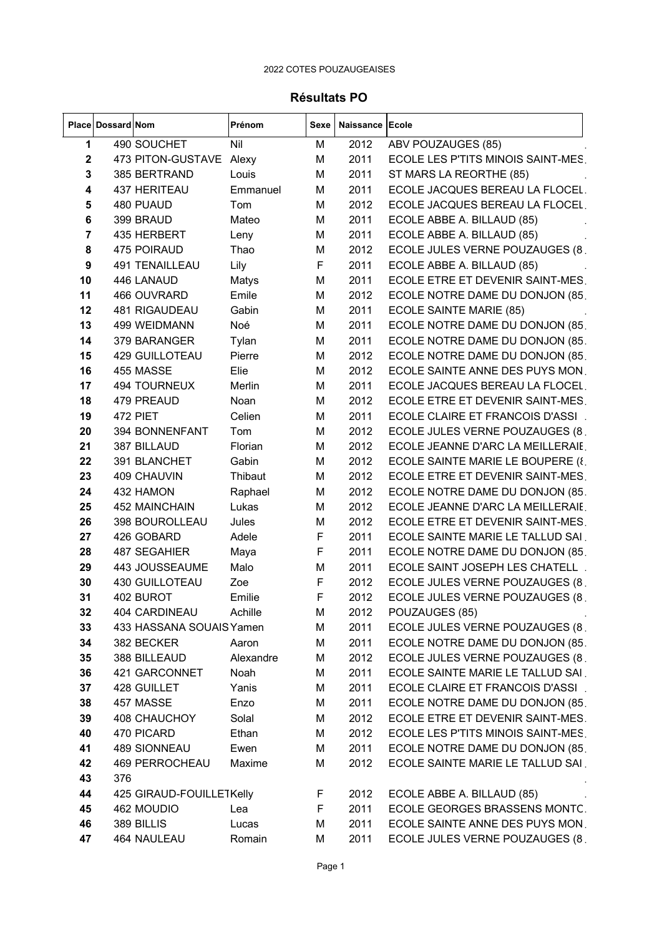## Résultats PO

|                         | Place   Dossard   Nom |                          | Prénom    | Sexe | Naissance Ecole |                                    |
|-------------------------|-----------------------|--------------------------|-----------|------|-----------------|------------------------------------|
| 1                       |                       | 490 SOUCHET              | Nil       | M    | 2012            | ABV POUZAUGES (85)                 |
| 2                       |                       | 473 PITON-GUSTAVE        | Alexy     | М    | 2011            | ECOLE LES P'TITS MINOIS SAINT-MES. |
| 3                       |                       | 385 BERTRAND             | Louis     | M    | 2011            | ST MARS LA REORTHE (85)            |
| 4                       |                       | 437 HERITEAU             | Emmanuel  | M    | 2011            | ECOLE JACQUES BEREAU LA FLOCEL.    |
| 5                       |                       | 480 PUAUD                | Tom       | М    | 2012            | ECOLE JACQUES BEREAU LA FLOCEL.    |
| 6                       |                       | 399 BRAUD                | Mateo     | М    | 2011            | ECOLE ABBE A. BILLAUD (85)         |
| $\overline{\mathbf{r}}$ |                       | 435 HERBERT              | Leny      | M    | 2011            | ECOLE ABBE A. BILLAUD (85)         |
| 8                       |                       | 475 POIRAUD              | Thao      | M    | 2012            | ECOLE JULES VERNE POUZAUGES (8.    |
| 9                       |                       | 491 TENAILLEAU           | Lily      | F    | 2011            | ECOLE ABBE A. BILLAUD (85)         |
| 10                      |                       | 446 LANAUD               | Matys     | М    | 2011            | ECOLE ETRE ET DEVENIR SAINT-MES.   |
| 11                      |                       | 466 OUVRARD              | Emile     | M    | 2012            | ECOLE NOTRE DAME DU DONJON (85.    |
| 12                      |                       | 481 RIGAUDEAU            | Gabin     | М    | 2011            | ECOLE SAINTE MARIE (85)            |
| 13                      |                       | 499 WEIDMANN             | Noé       | M    | 2011            | ECOLE NOTRE DAME DU DONJON (85.    |
| 14                      |                       | 379 BARANGER             | Tylan     | M    | 2011            | ECOLE NOTRE DAME DU DONJON (85.    |
| 15                      |                       | <b>429 GUILLOTEAU</b>    | Pierre    | M    | 2012            | ECOLE NOTRE DAME DU DONJON (85.    |
| 16                      |                       | 455 MASSE                | Elie      | M    | 2012            | ECOLE SAINTE ANNE DES PUYS MON.    |
| 17                      |                       | 494 TOURNEUX             | Merlin    | M    | 2011            | ECOLE JACQUES BEREAU LA FLOCEL.    |
| 18                      |                       | 479 PREAUD               | Noan      | M    | 2012            | ECOLE ETRE ET DEVENIR SAINT-MES.   |
| 19                      |                       | 472 PIET                 | Celien    | M    | 2011            | ECOLE CLAIRE ET FRANCOIS D'ASSI    |
| 20                      |                       | 394 BONNENFANT           | Tom       | М    | 2012            | ECOLE JULES VERNE POUZAUGES (8.    |
| 21                      |                       | 387 BILLAUD              | Florian   | M    | 2012            | ECOLE JEANNE D'ARC LA MEILLERAIE.  |
| 22                      |                       | 391 BLANCHET             | Gabin     | M    | 2012            | ECOLE SAINTE MARIE LE BOUPERE (8.  |
| 23                      |                       | 409 CHAUVIN              | Thibaut   | M    | 2012            | ECOLE ETRE ET DEVENIR SAINT-MES.   |
| 24                      |                       | 432 HAMON                | Raphael   | M    | 2012            | ECOLE NOTRE DAME DU DONJON (85.    |
| 25                      |                       | 452 MAINCHAIN            | Lukas     | M    | 2012            | ECOLE JEANNE D'ARC LA MEILLERAIE.  |
| 26                      |                       | 398 BOUROLLEAU           | Jules     | M    | 2012            | ECOLE ETRE ET DEVENIR SAINT-MES.   |
| 27                      |                       | 426 GOBARD               | Adele     | F    | 2011            | ECOLE SAINTE MARIE LE TALLUD SAI.  |
| 28                      |                       | 487 SEGAHIER             | Maya      | F    | 2011            | ECOLE NOTRE DAME DU DONJON (85.    |
| 29                      |                       | 443 JOUSSEAUME           | Malo      | M    | 2011            | ECOLE SAINT JOSEPH LES CHATELL.    |
| 30                      |                       | <b>430 GUILLOTEAU</b>    | Zoe       | F    | 2012            | ECOLE JULES VERNE POUZAUGES (8.    |
| 31                      |                       | 402 BUROT                | Emilie    | F    | 2012            | ECOLE JULES VERNE POUZAUGES (8.    |
| 32                      |                       | 404 CARDINEAU            | Achille   | M    | 2012            | POUZAUGES (85)                     |
| 33                      |                       | 433 HASSANA SOUAIS Yamen |           | М    | 2011            | ECOLE JULES VERNE POUZAUGES (8.    |
| 34                      |                       | 382 BECKER               | Aaron     | М    | 2011            | ECOLE NOTRE DAME DU DONJON (85.    |
| 35                      |                       | 388 BILLEAUD             | Alexandre | М    | 2012            | ECOLE JULES VERNE POUZAUGES (8.    |
| 36                      |                       | 421 GARCONNET            | Noah      | М    | 2011            | ECOLE SAINTE MARIE LE TALLUD SAI.  |
| 37                      |                       | 428 GUILLET              | Yanis     | М    | 2011            | ECOLE CLAIRE ET FRANCOIS D'ASSI.   |
| 38                      |                       | 457 MASSE                | Enzo      | М    | 2011            | ECOLE NOTRE DAME DU DONJON (85.    |
| 39                      |                       | <b>408 CHAUCHOY</b>      | Solal     | М    | 2012            | ECOLE ETRE ET DEVENIR SAINT-MES.   |
| 40                      |                       | 470 PICARD               | Ethan     | М    | 2012            | ECOLE LES P'TITS MINOIS SAINT-MES. |
| 41                      |                       | 489 SIONNEAU             | Ewen      | М    | 2011            | ECOLE NOTRE DAME DU DONJON (85.    |
| 42                      |                       | <b>469 PERROCHEAU</b>    | Maxime    | М    | 2012            | ECOLE SAINTE MARIE LE TALLUD SAI.  |
| 43                      | 376                   |                          |           |      |                 |                                    |
| 44                      |                       | 425 GIRAUD-FOUILLETKelly |           | F    | 2012            | ECOLE ABBE A. BILLAUD (85)         |
| 45                      |                       | 462 MOUDIO               | Lea       | F    | 2011            | ECOLE GEORGES BRASSENS MONTC.      |
| 46                      |                       | 389 BILLIS               | Lucas     | М    | 2011            | ECOLE SAINTE ANNE DES PUYS MON.    |
| 47                      |                       | 464 NAULEAU              | Romain    | М    | 2011            | ECOLE JULES VERNE POUZAUGES (8.    |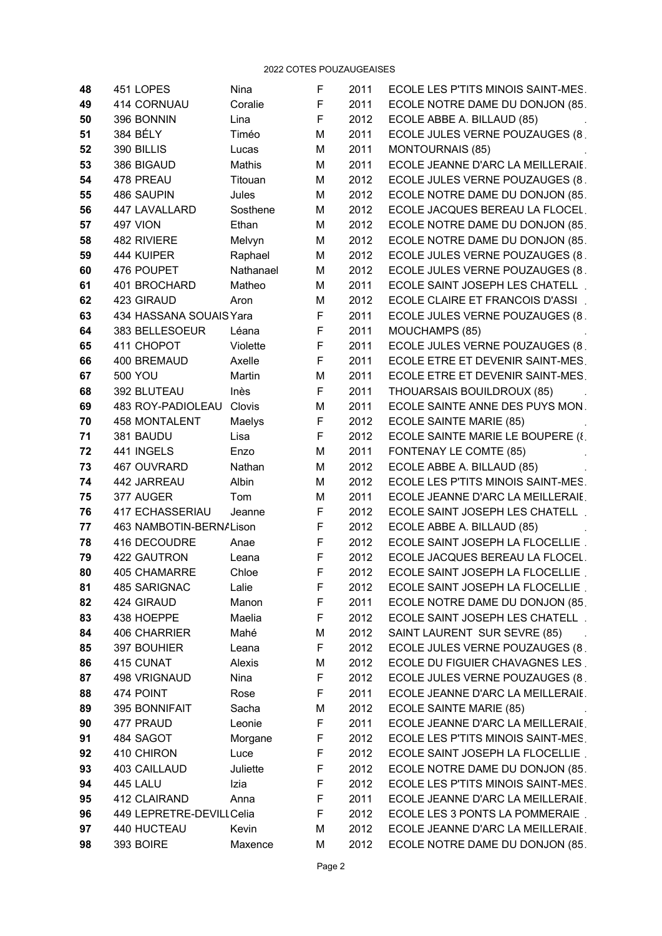| 48 | 451 LOPES                | Nina      | F | 2011 | ECOLE LES P'TITS MINOIS SAINT-MES. |
|----|--------------------------|-----------|---|------|------------------------------------|
| 49 | 414 CORNUAU              | Coralie   | F | 2011 | ECOLE NOTRE DAME DU DONJON (85.    |
| 50 | 396 BONNIN               | Lina      | F | 2012 | ECOLE ABBE A. BILLAUD (85)         |
| 51 | 384 BÉLY                 | Timéo     | M | 2011 | ECOLE JULES VERNE POUZAUGES (8.    |
| 52 | 390 BILLIS               | Lucas     | M | 2011 | <b>MONTOURNAIS (85)</b>            |
| 53 | 386 BIGAUD               | Mathis    | М | 2011 | ECOLE JEANNE D'ARC LA MEILLERAIE.  |
| 54 | 478 PREAU                | Titouan   | M | 2012 | ECOLE JULES VERNE POUZAUGES (8.    |
| 55 | 486 SAUPIN               | Jules     | М | 2012 | ECOLE NOTRE DAME DU DONJON (85.    |
| 56 | 447 LAVALLARD            | Sosthene  | M | 2012 | ECOLE JACQUES BEREAU LA FLOCEL.    |
| 57 | 497 VION                 | Ethan     | М | 2012 | ECOLE NOTRE DAME DU DONJON (85.    |
| 58 | 482 RIVIERE              | Melvyn    | M | 2012 | ECOLE NOTRE DAME DU DONJON (85.    |
| 59 | 444 KUIPER               | Raphael   | M | 2012 | ECOLE JULES VERNE POUZAUGES (8.    |
| 60 | 476 POUPET               | Nathanael | M | 2012 | ECOLE JULES VERNE POUZAUGES (8.    |
| 61 | 401 BROCHARD             | Matheo    | M | 2011 | ECOLE SAINT JOSEPH LES CHATELL.    |
| 62 | 423 GIRAUD               | Aron      | M | 2012 | ECOLE CLAIRE ET FRANCOIS D'ASSI.   |
| 63 | 434 HASSANA SOUAIS Yara  |           | F | 2011 | ECOLE JULES VERNE POUZAUGES (8.    |
| 64 | 383 BELLESOEUR           | Léana     | F | 2011 | MOUCHAMPS (85)                     |
| 65 | 411 CHOPOT               | Violette  | F | 2011 | ECOLE JULES VERNE POUZAUGES (8.    |
| 66 | 400 BREMAUD              | Axelle    | F | 2011 | ECOLE ETRE ET DEVENIR SAINT-MES.   |
| 67 | <b>500 YOU</b>           | Martin    | M | 2011 | ECOLE ETRE ET DEVENIR SAINT-MES.   |
| 68 | 392 BLUTEAU              | Inès      | F | 2011 | THOUARSAIS BOUILDROUX (85)         |
| 69 | 483 ROY-PADIOLEAU        | Clovis    | M | 2011 | ECOLE SAINTE ANNE DES PUYS MON.    |
| 70 | <b>458 MONTALENT</b>     | Maelys    | F | 2012 | ECOLE SAINTE MARIE (85)            |
| 71 | 381 BAUDU                | Lisa      | F | 2012 | ECOLE SAINTE MARIE LE BOUPERE (8.  |
| 72 | 441 INGELS               | Enzo      | М | 2011 | FONTENAY LE COMTE (85)             |
| 73 | 467 OUVRARD              | Nathan    | М | 2012 | ECOLE ABBE A. BILLAUD (85)         |
| 74 | 442 JARREAU              | Albin     | M | 2012 | ECOLE LES P'TITS MINOIS SAINT-MES. |
| 75 | 377 AUGER                | Tom       | M | 2011 | ECOLE JEANNE D'ARC LA MEILLERAIE.  |
| 76 | 417 ECHASSERIAU          | Jeanne    | F | 2012 | ECOLE SAINT JOSEPH LES CHATELL.    |
| 77 | 463 NAMBOTIN-BERN/Lison  |           | F | 2012 | ECOLE ABBE A. BILLAUD (85)         |
| 78 | 416 DECOUDRE             | Anae      | F | 2012 | ECOLE SAINT JOSEPH LA FLOCELLIE.   |
| 79 | 422 GAUTRON              | Leana     | F | 2012 | ECOLE JACQUES BEREAU LA FLOCEL.    |
| 80 | 405 CHAMARRE             | Chloe     | F | 2012 | ECOLE SAINT JOSEPH LA FLOCELLIE.   |
| 81 | 485 SARIGNAC             | Lalie     | F | 2012 | ECOLE SAINT JOSEPH LA FLOCELLIE.   |
| 82 | 424 GIRAUD               | Manon     | F | 2011 | ECOLE NOTRE DAME DU DONJON (85.    |
| 83 | 438 HOEPPE               | Maelia    | F | 2012 | ECOLE SAINT JOSEPH LES CHATELL.    |
| 84 | <b>406 CHARRIER</b>      | Mahé      | М | 2012 | SAINT LAURENT SUR SEVRE (85)       |
| 85 | 397 BOUHIER              | Leana     | F | 2012 | ECOLE JULES VERNE POUZAUGES (8.    |
| 86 | 415 CUNAT                | Alexis    | М | 2012 | ECOLE DU FIGUIER CHAVAGNES LES.    |
| 87 | 498 VRIGNAUD             | Nina      | F | 2012 | ECOLE JULES VERNE POUZAUGES (8.    |
| 88 | 474 POINT                | Rose      | F | 2011 | ECOLE JEANNE D'ARC LA MEILLERAIE.  |
| 89 | 395 BONNIFAIT            | Sacha     | М | 2012 | ECOLE SAINTE MARIE (85)            |
| 90 | 477 PRAUD                | Leonie    | F | 2011 | ECOLE JEANNE D'ARC LA MEILLERAIE.  |
| 91 | 484 SAGOT                | Morgane   | F | 2012 | ECOLE LES P'TITS MINOIS SAINT-MES. |
| 92 | 410 CHIRON               | Luce      | F | 2012 | ECOLE SAINT JOSEPH LA FLOCELLIE.   |
| 93 | 403 CAILLAUD             | Juliette  | F | 2012 | ECOLE NOTRE DAME DU DONJON (85.    |
| 94 | 445 LALU                 | Izia      | F | 2012 | ECOLE LES P'TITS MINOIS SAINT-MES. |
| 95 | 412 CLAIRAND             | Anna      | F | 2011 | ECOLE JEANNE D'ARC LA MEILLERAIE.  |
| 96 | 449 LEPRETRE-DEVILLCelia |           | F | 2012 | ECOLE LES 3 PONTS LA POMMERAIE.    |
| 97 | 440 HUCTEAU              | Kevin     | M | 2012 | ECOLE JEANNE D'ARC LA MEILLERAIE.  |
| 98 | 393 BOIRE                | Maxence   | М | 2012 | ECOLE NOTRE DAME DU DONJON (85.    |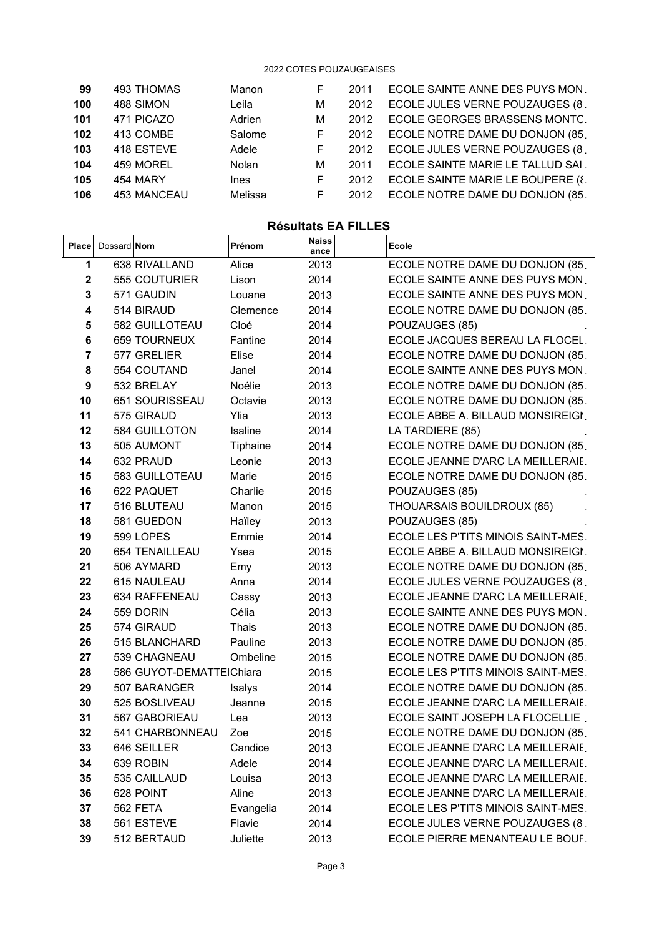| ECOLE SAINTE ANNE DES PUYS MON.   |
|-----------------------------------|
| ECOLE JULES VERNE POUZAUGES (8.   |
| ECOLE GEORGES BRASSENS MONTC.     |
| ECOLE NOTRE DAME DU DONJON (85.   |
| ECOLE JULES VERNE POUZAUGES (8.   |
| ECOLE SAINTE MARIE LE TALLUD SAI  |
| ECOLE SAINTE MARIE LE BOUPERE (8. |
| ECOLE NOTRE DAME DU DONJON (85.   |
|                                   |

## **Résultats EA FILLES**

 $\begin{bmatrix} \phantom{-} \\ \phantom{-} \end{bmatrix}$ 

| <b>Place</b>     | Dossard <b>Nom</b> |                          | Prénom    | <b>Naiss</b><br>ance | <b>Ecole</b>                       |
|------------------|--------------------|--------------------------|-----------|----------------------|------------------------------------|
| 1                |                    | 638 RIVALLAND            | Alice     | 2013                 | ECOLE NOTRE DAME DU DONJON (85.    |
| $\mathbf 2$      |                    | 555 COUTURIER            | Lison     | 2014                 | ECOLE SAINTE ANNE DES PUYS MON.    |
| 3                |                    | 571 GAUDIN               | Louane    | 2013                 | ECOLE SAINTE ANNE DES PUYS MON.    |
| 4                |                    | 514 BIRAUD               | Clemence  | 2014                 | ECOLE NOTRE DAME DU DONJON (85.    |
| 5                |                    | 582 GUILLOTEAU           | Cloé      | 2014                 | POUZAUGES (85)                     |
| 6                |                    | <b>659 TOURNEUX</b>      | Fantine   | 2014                 | ECOLE JACQUES BEREAU LA FLOCEL.    |
| 7                |                    | 577 GRELIER              | Elise     | 2014                 | ECOLE NOTRE DAME DU DONJON (85.    |
| 8                |                    | 554 COUTAND              | Janel     | 2014                 | ECOLE SAINTE ANNE DES PUYS MON.    |
| $\boldsymbol{9}$ |                    | 532 BRELAY               | Noélie    | 2013                 | ECOLE NOTRE DAME DU DONJON (85.    |
| 10               |                    | 651 SOURISSEAU           | Octavie   | 2013                 | ECOLE NOTRE DAME DU DONJON (85.    |
| 11               |                    | 575 GIRAUD               | Ylia      | 2013                 | ECOLE ABBE A. BILLAUD MONSIREIGI.  |
| 12               |                    | 584 GUILLOTON            | Isaline   | 2014                 | LA TARDIERE (85)                   |
| 13               |                    | 505 AUMONT               | Tiphaine  | 2014                 | ECOLE NOTRE DAME DU DONJON (85.    |
| 14               |                    | 632 PRAUD                | Leonie    | 2013                 | ECOLE JEANNE D'ARC LA MEILLERAIE.  |
| 15               |                    | 583 GUILLOTEAU           | Marie     | 2015                 | ECOLE NOTRE DAME DU DONJON (85.    |
| 16               |                    | 622 PAQUET               | Charlie   | 2015                 | POUZAUGES (85)                     |
| 17               |                    | 516 BLUTEAU              | Manon     | 2015                 | THOUARSAIS BOUILDROUX (85)         |
| 18               |                    | 581 GUEDON               | Haïley    | 2013                 | POUZAUGES (85)                     |
| 19               |                    | 599 LOPES                | Emmie     | 2014                 | ECOLE LES P'TITS MINOIS SAINT-MES. |
| 20               |                    | 654 TENAILLEAU           | Ysea      | 2015                 | ECOLE ABBE A. BILLAUD MONSIREIGI.  |
| 21               |                    | 506 AYMARD               | Emy       | 2013                 | ECOLE NOTRE DAME DU DONJON (85.    |
| 22               |                    | 615 NAULEAU              | Anna      | 2014                 | ECOLE JULES VERNE POUZAUGES (8.    |
| 23               |                    | 634 RAFFENEAU            | Cassy     | 2013                 | ECOLE JEANNE D'ARC LA MEILLERAIE.  |
| 24               |                    | 559 DORIN                | Célia     | 2013                 | ECOLE SAINTE ANNE DES PUYS MON.    |
| 25               |                    | 574 GIRAUD               | Thais     | 2013                 | ECOLE NOTRE DAME DU DONJON (85.    |
| 26               |                    | 515 BLANCHARD            | Pauline   | 2013                 | ECOLE NOTRE DAME DU DONJON (85.    |
| 27               |                    | 539 CHAGNEAU             | Ombeline  | 2015                 | ECOLE NOTRE DAME DU DONJON (85.    |
| 28               |                    | 586 GUYOT-DEMATTEIChiara |           | 2015                 | ECOLE LES P'TITS MINOIS SAINT-MES. |
| 29               |                    | 507 BARANGER             | Isalys    | 2014                 | ECOLE NOTRE DAME DU DONJON (85.    |
| 30               |                    | 525 BOSLIVEAU            | Jeanne    | 2015                 | ECOLE JEANNE D'ARC LA MEILLERAIE.  |
| 31               |                    | 567 GABORIEAU            | Lea       | 2013                 | ECOLE SAINT JOSEPH LA FLOCELLIE.   |
| 32               |                    | 541 CHARBONNEAU          | Zoe       | 2015                 | ECOLE NOTRE DAME DU DONJON (85.    |
| 33               |                    | 646 SEILLER              | Candice   | 2013                 | ECOLE JEANNE D'ARC LA MEILLERAIE.  |
| 34               |                    | 639 ROBIN                | Adele     | 2014                 | ECOLE JEANNE D'ARC LA MEILLERAIE.  |
| 35               |                    | 535 CAILLAUD             | Louisa    | 2013                 | ECOLE JEANNE D'ARC LA MEILLERAIE.  |
| 36               |                    | 628 POINT                | Aline     | 2013                 | ECOLE JEANNE D'ARC LA MEILLERAIE.  |
| 37               |                    | 562 FETA                 | Evangelia | 2014                 | ECOLE LES P'TITS MINOIS SAINT-MES. |
| 38               |                    | 561 ESTEVE               | Flavie    | 2014                 | ECOLE JULES VERNE POUZAUGES (8.    |
| 39               |                    | 512 BERTAUD              | Juliette  | 2013                 | ECOLE PIERRE MENANTEAU LE BOUF.    |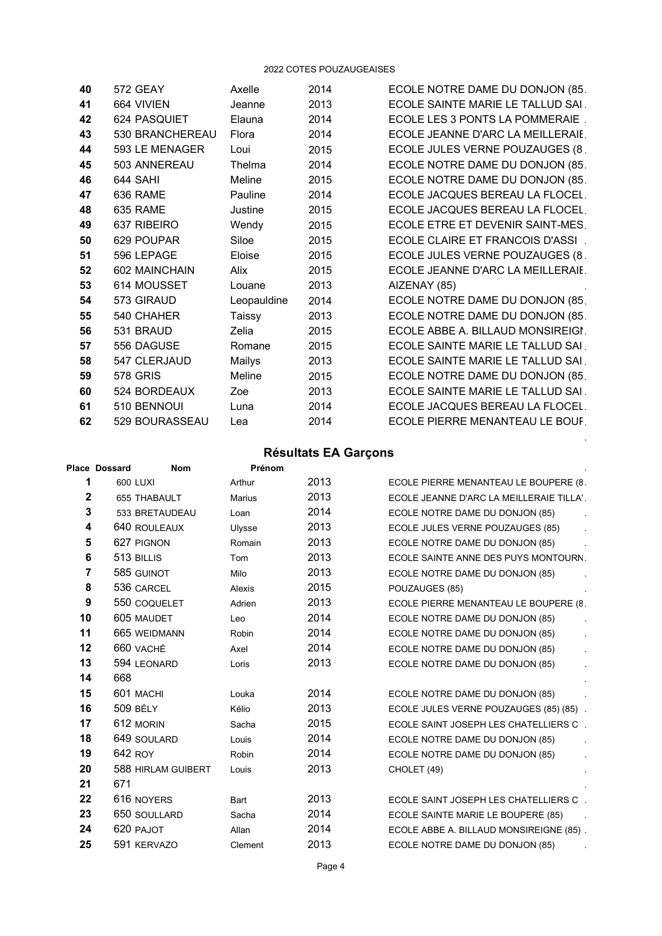| 40 | 572 GEAY        | Axelle      | 2014 | ECOLE NOTRE DAME DU DONJON (85.   |
|----|-----------------|-------------|------|-----------------------------------|
| 41 | 664 VIVIEN      | Jeanne      | 2013 | ECOLE SAINTE MARIE LE TALLUD SAI. |
| 42 | 624 PASQUIET    | Elauna      | 2014 | ECOLE LES 3 PONTS LA POMMERAIE    |
| 43 | 530 BRANCHEREAU | Flora       | 2014 | ECOLE JEANNE D'ARC LA MEILLERAIE. |
| 44 | 593 LE MENAGER  | Loui        | 2015 | ECOLE JULES VERNE POUZAUGES (8.   |
| 45 | 503 ANNEREAU    | Thelma      | 2014 | ECOLE NOTRE DAME DU DONJON (85.   |
| 46 | 644 SAHI        | Meline      | 2015 | ECOLE NOTRE DAME DU DONJON (85.   |
| 47 | 636 RAME        | Pauline     | 2014 | ECOLE JACQUES BEREAU LA FLOCEL.   |
| 48 | 635 RAME        | Justine     | 2015 | ECOLE JACQUES BEREAU LA FLOCEL.   |
| 49 | 637 RIBEIRO     | Wendy       | 2015 | ECOLE ETRE ET DEVENIR SAINT-MES.  |
| 50 | 629 POUPAR      | Siloe       | 2015 | ECOLE CLAIRE ET FRANCOIS D'ASSI.  |
| 51 | 596 LEPAGE      | Eloise      | 2015 | ECOLE JULES VERNE POUZAUGES (8.   |
| 52 | 602 MAINCHAIN   | Alix        | 2015 | ECOLE JEANNE D'ARC LA MEILLERAIE. |
| 53 | 614 MOUSSET     | Louane      | 2013 | AIZENAY (85)                      |
| 54 | 573 GIRAUD      | Leopauldine | 2014 | ECOLE NOTRE DAME DU DONJON (85.   |
| 55 | 540 CHAHER      | Taissy      | 2013 | ECOLE NOTRE DAME DU DONJON (85.   |
| 56 | 531 BRAUD       | Zelia       | 2015 | ECOLE ABBE A. BILLAUD MONSIREIGI. |
| 57 | 556 DAGUSE      | Romane      | 2015 | ECOLE SAINTE MARIE LE TALLUD SAI  |
| 58 | 547 CLERJAUD    | Mailys      | 2013 | ECOLE SAINTE MARIE LE TALLUD SAI  |
| 59 | <b>578 GRIS</b> | Meline      | 2015 | ECOLE NOTRE DAME DU DONJON (85.   |
| 60 | 524 BORDEAUX    | Zoe         | 2013 | ECOLE SAINTE MARIE LE TALLUD SAI. |
| 61 | 510 BENNOUI     | Luna        | 2014 | ECOLE JACQUES BEREAU LA FLOCEL.   |
| 62 | 529 BOURASSEAU  | Lea         | 2014 | ECOLE PIERRE MENANTEAU LE BOUF.   |

# Résultats EA Garçons

 $\ddot{\phantom{a}}$ 

|                  | <b>RESUILALS EA UAIÇUIS</b> |               |        |                                          |  |  |
|------------------|-----------------------------|---------------|--------|------------------------------------------|--|--|
|                  | <b>Place Dossard</b>        | <b>Nom</b>    | Prénom |                                          |  |  |
| 1                | 600 LUXI                    | Arthur        | 2013   | ECOLE PIERRE MENANTEAU LE BOUPERE (8.    |  |  |
| $\mathbf 2$      | 655 THABAULT                | <b>Marius</b> | 2013   | ECOLE JEANNE D'ARC LA MEILLERAIE TILLA'. |  |  |
| 3                | 533 BRETAUDEAU              | Loan          | 2014   | ECOLE NOTRE DAME DU DONJON (85)          |  |  |
| 4                | 640 ROULEAUX                | Ulysse        | 2013   | ECOLE JULES VERNE POUZAUGES (85)         |  |  |
| 5                | 627 PIGNON                  | Romain        | 2013   | ECOLE NOTRE DAME DU DONJON (85)          |  |  |
| 6                | 513 BILLIS                  | Tom           | 2013   | ECOLE SAINTE ANNE DES PUYS MONTOURN.     |  |  |
| 7                | 585 GUINOT                  | Milo          | 2013   | ECOLE NOTRE DAME DU DONJON (85)          |  |  |
| 8                | 536 CARCEL                  | Alexis        | 2015   | POUZAUGES (85)                           |  |  |
| $\boldsymbol{9}$ | 550 COQUELET                | Adrien        | 2013   | ECOLE PIERRE MENANTEAU LE BOUPERE (8.    |  |  |
| 10               | 605 MAUDET                  | Leo           | 2014   | ECOLE NOTRE DAME DU DONJON (85)          |  |  |
| 11               | 665 WEIDMANN                | Robin         | 2014   | ECOLE NOTRE DAME DU DONJON (85)          |  |  |
| 12               | 660 VACHÉ                   | Axel          | 2014   | ECOLE NOTRE DAME DU DONJON (85)          |  |  |
| 13               | 594 LEONARD                 | Loris         | 2013   | ECOLE NOTRE DAME DU DONJON (85)          |  |  |
| 14               | 668                         |               |        |                                          |  |  |
| 15               | 601 MACHI                   | Louka         | 2014   | ECOLE NOTRE DAME DU DONJON (85)          |  |  |
| 16               | <b>509 BÉLY</b>             | Kélio         | 2013   | ECOLE JULES VERNE POUZAUGES (85) (85).   |  |  |
| 17               | 612 MORIN                   | Sacha         | 2015   | ECOLE SAINT JOSEPH LES CHATELLIERS C     |  |  |
| 18               | 649 SOULARD                 | Louis         | 2014   | ECOLE NOTRE DAME DU DONJON (85)          |  |  |
| 19               | 642 ROY                     | Robin         | 2014   | ECOLE NOTRE DAME DU DONJON (85)          |  |  |
| 20               | 588 HIRLAM GUIBERT          | Louis         | 2013   | CHOLET (49)                              |  |  |
| 21               | 671                         |               |        |                                          |  |  |
| 22               | 616 NOYERS                  | Bart          | 2013   | ECOLE SAINT JOSEPH LES CHATELLIERS C.    |  |  |
| 23               | 650 SOULLARD                | Sacha         | 2014   | ECOLE SAINTE MARIE LE BOUPERE (85)       |  |  |
| 24               | 620 PAJOT                   | Allan         | 2014   | ECOLE ABBE A. BILLAUD MONSIREIGNE (85).  |  |  |
| 25               | 591 KERVAZO                 | Clement       | 2013   | ECOLE NOTRE DAME DU DONJON (85)          |  |  |
|                  |                             |               |        |                                          |  |  |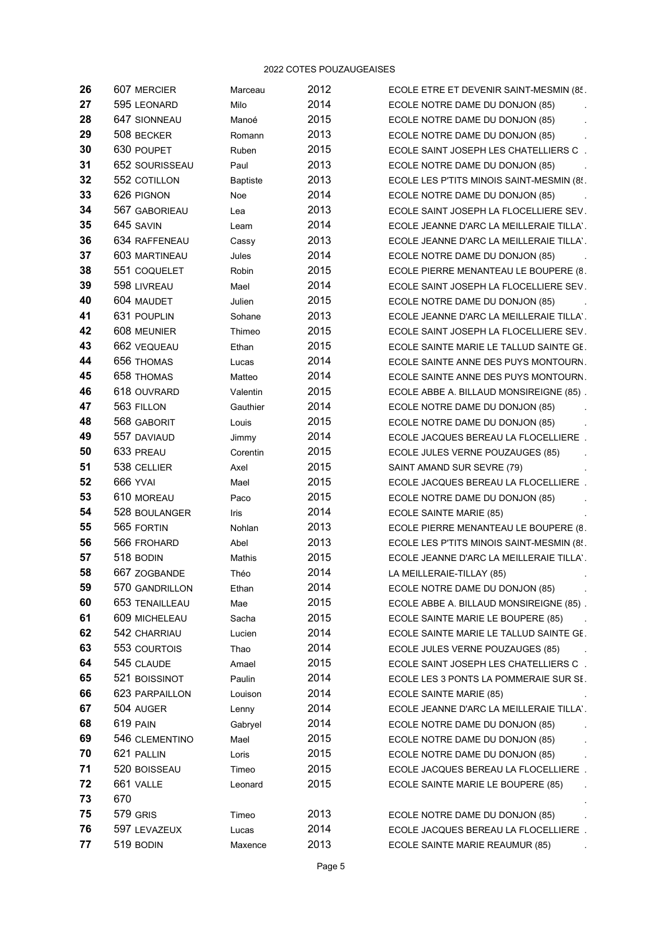| 26 | 607 MERCIER     | Marceau         | 2012 | ECOLE ETRE ET DEVENIR SAINT-MESMIN (85.   |
|----|-----------------|-----------------|------|-------------------------------------------|
| 27 | 595 LEONARD     | Milo            | 2014 | ECOLE NOTRE DAME DU DONJON (85)           |
| 28 | 647 SIONNEAU    | Manoé           | 2015 | ECOLE NOTRE DAME DU DONJON (85)           |
| 29 | 508 BECKER      | Romann          | 2013 | ECOLE NOTRE DAME DU DONJON (85)           |
| 30 | 630 POUPET      | Ruben           | 2015 | ECOLE SAINT JOSEPH LES CHATELLIERS C.     |
| 31 | 652 SOURISSEAU  | Paul            | 2013 | ECOLE NOTRE DAME DU DONJON (85)           |
| 32 | 552 COTILLON    | <b>Baptiste</b> | 2013 | ECOLE LES P'TITS MINOIS SAINT-MESMIN (8.  |
| 33 | 626 PIGNON      | Noe             | 2014 | ECOLE NOTRE DAME DU DONJON (85)           |
| 34 | 567 GABORIEAU   | Lea             | 2013 | ECOLE SAINT JOSEPH LA FLOCELLIERE SEV.    |
| 35 | 645 SAVIN       | Leam            | 2014 | ECOLE JEANNE D'ARC LA MEILLERAIE TILLA'.  |
| 36 | 634 RAFFENEAU   | Cassy           | 2013 | ECOLE JEANNE D'ARC LA MEILLERAIE TILLA'.  |
| 37 | 603 MARTINEAU   | Jules           | 2014 | ECOLE NOTRE DAME DU DONJON (85)           |
| 38 | 551 COQUELET    | Robin           | 2015 | ECOLE PIERRE MENANTEAU LE BOUPERE (8.     |
| 39 | 598 LIVREAU     | Mael            | 2014 | ECOLE SAINT JOSEPH LA FLOCELLIERE SEV.    |
| 40 | 604 MAUDET      | Julien          | 2015 | ECOLE NOTRE DAME DU DONJON (85)           |
| 41 | 631 POUPLIN     | Sohane          | 2013 | ECOLE JEANNE D'ARC LA MEILLERAIE TILLA'.  |
| 42 | 608 MEUNIER     | Thimeo          | 2015 | ECOLE SAINT JOSEPH LA FLOCELLIERE SEV.    |
| 43 | 662 VEQUEAU     | Ethan           | 2015 | ECOLE SAINTE MARIE LE TALLUD SAINTE GE.   |
| 44 | 656 THOMAS      | Lucas           | 2014 | ECOLE SAINTE ANNE DES PUYS MONTOURN.      |
| 45 | 658 THOMAS      | Matteo          | 2014 | ECOLE SAINTE ANNE DES PUYS MONTOURN.      |
| 46 | 618 OUVRARD     | Valentin        | 2015 | ECOLE ABBE A. BILLAUD MONSIREIGNE (85).   |
| 47 | 563 FILLON      | Gauthier        | 2014 | ECOLE NOTRE DAME DU DONJON (85)           |
| 48 | 568 GABORIT     | Louis           | 2015 | ECOLE NOTRE DAME DU DONJON (85)           |
| 49 | 557 DAVIAUD     | Jimmy           | 2014 | ECOLE JACQUES BEREAU LA FLOCELLIERE.      |
| 50 | 633 PREAU       | Corentin        | 2015 | ECOLE JULES VERNE POUZAUGES (85)          |
| 51 | 538 CELLIER     | Axel            | 2015 | SAINT AMAND SUR SEVRE (79)                |
| 52 | <b>666 YVAI</b> | Mael            | 2015 | ECOLE JACQUES BEREAU LA FLOCELLIERE.      |
| 53 | 610 MOREAU      | Paco            | 2015 | ECOLE NOTRE DAME DU DONJON (85)           |
| 54 | 528 BOULANGER   | Iris            | 2014 | ECOLE SAINTE MARIE (85)                   |
| 55 | 565 FORTIN      | Nohlan          | 2013 | ECOLE PIERRE MENANTEAU LE BOUPERE (8.     |
| 56 | 566 FROHARD     | Abel            | 2013 | ECOLE LES P'TITS MINOIS SAINT-MESMIN (85. |
| 57 | 518 BODIN       | Mathis          | 2015 | ECOLE JEANNE D'ARC LA MEILLERAIE TILLA'.  |
| 58 | 667 ZOGBANDE    | Théo            | 2014 | LA MEILLERAIE-TILLAY (85)                 |
| 59 | 570 GANDRILLON  | Ethan           | 2014 | ECOLE NOTRE DAME DU DONJON (85)           |
| 60 | 653 TENAILLEAU  | Mae             | 2015 | ECOLE ABBE A. BILLAUD MONSIREIGNE (85).   |
| 61 | 609 MICHELEAU   | Sacha           | 2015 | ECOLE SAINTE MARIE LE BOUPERE (85)        |
| 62 | 542 CHARRIAU    | Lucien          | 2014 | ECOLE SAINTE MARIE LE TALLUD SAINTE GE.   |
| 63 | 553 COURTOIS    | Thao            | 2014 | ECOLE JULES VERNE POUZAUGES (85)          |
| 64 | 545 CLAUDE      | Amael           | 2015 | ECOLE SAINT JOSEPH LES CHATELLIERS C.     |
| 65 | 521 BOISSINOT   | Paulin          | 2014 | ECOLE LES 3 PONTS LA POMMERAIE SUR SE.    |
| 66 | 623 PARPAILLON  | Louison         | 2014 | ECOLE SAINTE MARIE (85)                   |
| 67 | 504 AUGER       | Lenny           | 2014 | ECOLE JEANNE D'ARC LA MEILLERAIE TILLA'.  |
| 68 | 619 PAIN        | Gabryel         | 2014 | ECOLE NOTRE DAME DU DONJON (85)           |
| 69 | 546 CLEMENTINO  | Mael            | 2015 | ECOLE NOTRE DAME DU DONJON (85)           |
| 70 | 621 PALLIN      | Loris           | 2015 | ECOLE NOTRE DAME DU DONJON (85)           |
| 71 | 520 BOISSEAU    | Timeo           | 2015 | ECOLE JACQUES BEREAU LA FLOCELLIERE.      |
| 72 | 661 VALLE       | Leonard         | 2015 | ECOLE SAINTE MARIE LE BOUPERE (85)        |
| 73 | 670             |                 |      |                                           |
| 75 | 579 GRIS        | Timeo           | 2013 | ECOLE NOTRE DAME DU DONJON (85)           |
| 76 | 597 LEVAZEUX    | Lucas           | 2014 | ECOLE JACQUES BEREAU LA FLOCELLIERE.      |
| 77 | 519 BODIN       | Maxence         | 2013 | ECOLE SAINTE MARIE REAUMUR (85)           |
|    |                 |                 |      |                                           |